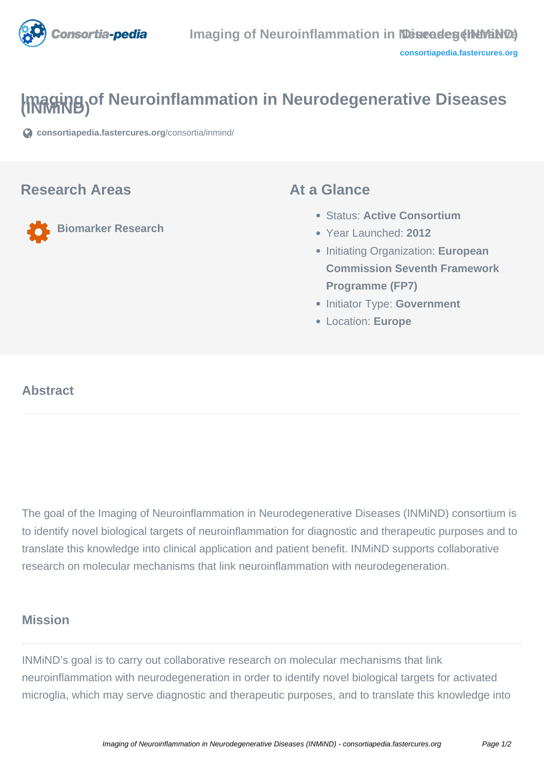

# **Imaging of Neuroinflammation in Neurodegenerative Diseases**

**[consortiapedia.fastercures.org](https://consortiapedia.fastercures.org/consortia/inmind/)**[/consortia/inmind/](https://consortiapedia.fastercures.org/consortia/inmind/)

#### **Research Areas**

**Biomarker Research**

#### **At a Glance**

- Status: **Active Consortium**
- Year Launched: **2012**
- **Initiating Organization: European Commission Seventh Framework Programme (FP7)**
- **Initiator Type: Government**
- Location: **Europe**

#### $\overline{a}$ **Abstract**

The goal of the Imaging of Neuroinflammation in Neurodegenerative Diseases (INMiND) consortium is to identify novel biological targets of neuroinflammation for diagnostic and therapeutic purposes and to translate this knowledge into clinical application and patient benefit. INMiND supports collaborative research on molecular mechanisms that link neuroinflammation with neurodegeneration.

#### **Mission**

INMiND's goal is to carry out collaborative research on molecular mechanisms that link neuroinflammation with neurodegeneration in order to identify novel biological targets for activated microglia, which may serve diagnostic and therapeutic purposes, and to translate this knowledge into